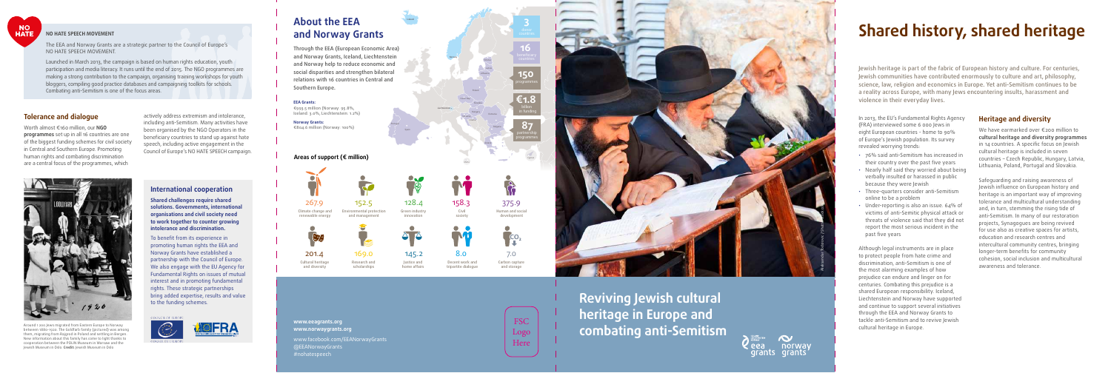**Reviving Jewish cultural heritage in Europe and combating anti-Semitism**



#### **NO HATE SPEECH MOVEMENT**

The EEA and Norway Grants are a strategic partner to the Council of Europe's NO HATE SPEECH MOVEMENT.

Launched in March 2013, the campaign is based on human rights education, youth participation and media literacy. It runs until the end of 2015. The NGO programmes are making a strong contribution to the campaign, organising training workshops for youth bloggers, compiling good practice databases and campaigning toolkits for schools. Combating anti-Semitism is one of the focus areas.

# **Shared history, shared heritage**

Jewish heritage is part of the fabric of European history and culture. For centuries, Jewish communities have contributed enormously to culture and art, philosophy, science, law, religion and economics in Europe. Yet anti-Semitism continues to be a reality across Europe, with many Jews encountering insults, harassment and violence in their everyday lives.

In 2013, the EU's Fundamental Rights Agency (FRA) interviewed some 6 000 Jews in eight European countries - home to 90% of Europe's Jewish population. Its survey revealed worrying trends:

We have earmarked over €200 million to **cultural heritage and diversity programmes** in 14 countries. A specific focus on Jewish cultural heritage is included in seven countries – Czech Republic, Hungary, Latvia, Lithuania, Poland, Portugal and Slovakia.

- 76% said anti-Semitism has increased in their country over the past five years
- Nearly half said they worried about being verbally insulted or harassed in public because they were Jewish
- Three-quarters consider anti-Semitism online to be a problem
- victims of anti-Semitic physical attack or threats of violence said that they did not report the most serious incident in the past five years

Worth almost €160 million, our **NGO programmes** set up in all 16 countries are one of the biggest funding schemes for civil society in Central and Southern Europe. Promoting human rights and combating discrimination are a central focus of the programmes, which nual and southern Lurope. Fromoung Council of Europe's NO HATE SPEECH campaign.

To benefit from its experience in promoting human rights the EEA and Norway Grants have established a partnership with the Council of Europe. We also engage with the EU Agency for Fundamental Rights on issues of mutual interest and in promoting fundamental rights. These strategic partnerships bring added expertise, results and value to the funding schemes.  $J_{1,1}$  Justice and home affairs Green industry industry industry industry industry in  $J_{1,1}$  and  $J_{1,2}$  and  $J_{1,2}$  and  $J_{1,2}$  and  $J_{1,2}$  and  $J_{1,2}$  and  $J_{1,2}$  and  $J_{1,2}$  and  $J_{1,2}$  and  $J_{1,2}$  and  $J_{$ 



Although legal instruments are in place discrimination, anti-Semitism is one of the most alarming examples of how prejudice can endure and linger on for centuries. Combating this prejudice is a shared European responsibility. Iceland, Liechtenstein and Norway have supported and continue to support several initiatives through the EEA and Norway Grants to tackle anti-Semitism and to revive Jewish cultural heritage in Europe.

#### **Heritage and diversity**

Human and social development

 $\overline{G}$ 

f

Civil society

158.3

Green industry innovation

Safeguarding and raising awareness of Jewish influence on European history and heritage is an important way of improving tolerance and multicultural understanding and, in turn, stemming the rising tide of anti-Semitism. In many of our restoration projects, Synagogues are being revived for use also as creative spaces for artists, education and research centres and intercultural community centres, bringing longer-term benefits for community awareness and tolerance.



#### **Tolerance and dialogue**

actively address extremism and intolerance, including anti-Semitism. Many activities have been organised by the NGO Operators in the beneficiary countries to stand up against hate speech, including active engagement in the

#### **International cooperation**

**Shared challenges require shared organisations and civil society need to work together to counter growing intolerance and discrimination.**

> Cultural heritage and diversity

Norway

Iceland

Liechtenstein

Poland

Lithuania Latvia Estonia

Czech Rep.

Slovakia

Slovenia Croatia Hungary

Bulgaria

Spain

Portugal

Carbon capture and storage 7.0

Greece

Malta

Cyprus

**16**

**3**

billion

**€1.8**

**150**

**87**

# **About the EEA and Norway Grants**

Through the EEA (European Economic Area) and Norway Grants, Iceland, Liechtenstein and Norway help to reduce economic and social disparities and strengthen bilateral relations with 16 countries in Central and Southern Europe.

#### **EEA Grants:**

€993.5 million (Norway: 95.8%, Iceland: 3.0%, Liechtenstein: 1.2%)

**Norway Grants:** €804.6 million (Norway: 100%)

### Areas of support (€ million)

#### **www.eeagrants.org www.norwaygrants.org**



Justice and home affairs 145.2

www.facebook.com/EEANorwayGrants @EEANorwayGrants #nohatespeech

FSC Logo Here

and management

Research and scholarships 169.0



Carbon capture and storage

tripartite dialogue

tripartite dialogue



201.4



128.4

Decent work and tripartite dialogue  $8.0$ 

Around 1 200 Jews migrated from Eastern Europe to Norway between 1880-1920. The Goldfarb family (pictured) was among them, migrating from Rajgrod in Poland and settling in Bergen. New information about this family has come to light thanks to cooperation between the POLIN Museum in Warsaw and the Jewish Museum in Oslo. **Credit:** Jewish Museum in Oslo